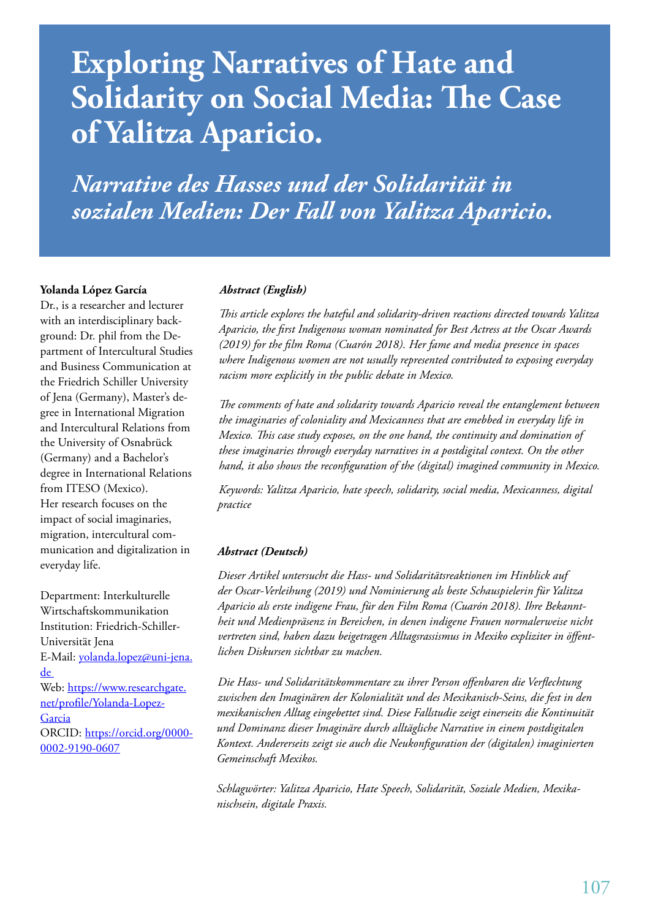# **Exploring Narratives of Hate and Solidarity on Social Media: The Case of Yalitza Aparicio.**

*Narrative des Hasses und der Solidarität in sozialen Medien: Der Fall von Yalitza Aparicio.*

#### **Yolanda López García**

Dr., is a researcher and lecturer with an interdisciplinary background: Dr. phil from the Department of Intercultural Studies and Business Communication at the Friedrich Schiller University of Jena (Germany), Master's degree in International Migration and Intercultural Relations from the University of Osnabrück (Germany) and a Bachelor's degree in International Relations from ITESO (Mexico). Her research focuses on the impact of social imaginaries, migration, intercultural communication and digitalization in everyday life.

Department: Interkulturelle Wirtschaftskommunikation Institution: Friedrich-Schiller-Universität Jena E-Mail: yolanda.lopez@uni-jena. de Web: https://www.researchgate. net/profile/Yolanda-Lopez-**Garcia** ORCID: https://orcid.org/0000-0002-9190-0607

#### *Abstract (English)*

*This article explores the hateful and solidarity-driven reactions directed towards Yalitza Aparicio, the first Indigenous woman nominated for Best Actress at the Oscar Awards (2019) for the film Roma (Cuarón 2018). Her fame and media presence in spaces where Indigenous women are not usually represented contributed to exposing everyday racism more explicitly in the public debate in Mexico.*

*The comments of hate and solidarity towards Aparicio reveal the entanglement between the imaginaries of coloniality and Mexicanness that are emebbed in everyday life in Mexico. This case study exposes, on the one hand, the continuity and domination of these imaginaries through everyday narratives in a postdigital context. On the other hand, it also shows the reconfiguration of the (digital) imagined community in Mexico.*

*Keywords: Yalitza Aparicio, hate speech, solidarity, social media, Mexicanness, digital practice*

#### *Abstract (Deutsch)*

*Dieser Artikel untersucht die Hass- und Solidaritätsreaktionen im Hinblick auf der Oscar-Verleihung (2019) und Nominierung als beste Schauspielerin für Yalitza Aparicio als erste indigene Frau, für den Film Roma (Cuarón 2018). Ihre Bekanntheit und Medienpräsenz in Bereichen, in denen indigene Frauen normalerweise nicht vertreten sind, haben dazu beigetragen Alltagsrassismus in Mexiko expliziter in öffentlichen Diskursen sichtbar zu machen.*

*Die Hass- und Solidaritätskommentare zu ihrer Person offenbaren die Verflechtung zwischen den Imaginären der Kolonialität und des Mexikanisch-Seins, die fest in den mexikanischen Alltag eingebettet sind. Diese Fallstudie zeigt einerseits die Kontinuität und Dominanz dieser Imaginäre durch alltägliche Narrative in einem postdigitalen Kontext. Andererseits zeigt sie auch die Neukonfiguration der (digitalen) imaginierten Gemeinschaft Mexikos.*

*Schlagwörter: Yalitza Aparicio, Hate Speech, Solidarität, Soziale Medien, Mexikanischsein, digitale Praxis.*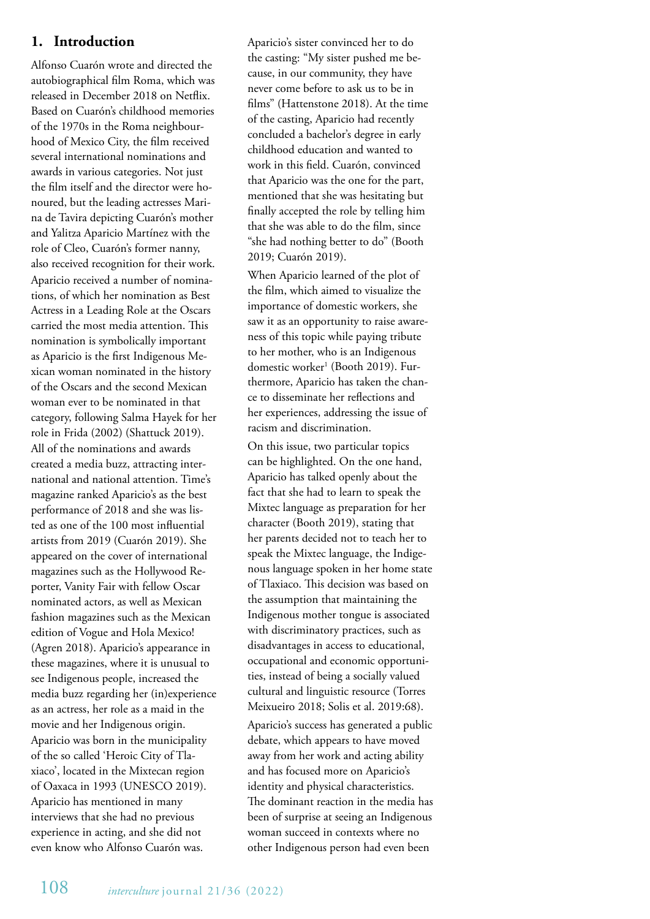# **1. Introduction**

Alfonso Cuarón wrote and directed the autobiographical film Roma, which was released in December 2018 on Netflix. Based on Cuarón's childhood memories of the 1970s in the Roma neighbourhood of Mexico City, the film received several international nominations and awards in various categories. Not just the film itself and the director were honoured, but the leading actresses Marina de Tavira depicting Cuarón's mother and Yalitza Aparicio Martínez with the role of Cleo, Cuarón's former nanny, also received recognition for their work. Aparicio received a number of nominations, of which her nomination as Best Actress in a Leading Role at the Oscars carried the most media attention. This nomination is symbolically important as Aparicio is the first Indigenous Mexican woman nominated in the history of the Oscars and the second Mexican woman ever to be nominated in that category, following Salma Hayek for her role in Frida (2002) (Shattuck 2019). All of the nominations and awards created a media buzz, attracting international and national attention. Time's magazine ranked Aparicio's as the best performance of 2018 and she was listed as one of the 100 most influential artists from 2019 (Cuarón 2019). She appeared on the cover of international magazines such as the Hollywood Reporter, Vanity Fair with fellow Oscar nominated actors, as well as Mexican fashion magazines such as the Mexican edition of Vogue and Hola Mexico! (Agren 2018). Aparicio's appearance in these magazines, where it is unusual to see Indigenous people, increased the media buzz regarding her (in)experience as an actress, her role as a maid in the movie and her Indigenous origin. Aparicio was born in the municipality of the so called 'Heroic City of Tlaxiaco', located in the Mixtecan region of Oaxaca in 1993 (UNESCO 2019). Aparicio has mentioned in many interviews that she had no previous experience in acting, and she did not even know who Alfonso Cuarón was.

Aparicio's sister convinced her to do the casting: "My sister pushed me because, in our community, they have never come before to ask us to be in films" (Hattenstone 2018). At the time of the casting, Aparicio had recently concluded a bachelor's degree in early childhood education and wanted to work in this field. Cuarón, convinced that Aparicio was the one for the part, mentioned that she was hesitating but finally accepted the role by telling him that she was able to do the film, since "she had nothing better to do" (Booth 2019; Cuarón 2019).

When Aparicio learned of the plot of the film, which aimed to visualize the importance of domestic workers, she saw it as an opportunity to raise awareness of this topic while paying tribute to her mother, who is an Indigenous domestic worker<sup>1</sup> (Booth 2019). Furthermore, Aparicio has taken the chance to disseminate her reflections and her experiences, addressing the issue of racism and discrimination.

On this issue, two particular topics can be highlighted. On the one hand, Aparicio has talked openly about the fact that she had to learn to speak the Mixtec language as preparation for her character (Booth 2019), stating that her parents decided not to teach her to speak the Mixtec language, the Indigenous language spoken in her home state of Tlaxiaco. This decision was based on the assumption that maintaining the Indigenous mother tongue is associated with discriminatory practices, such as disadvantages in access to educational, occupational and economic opportunities, instead of being a socially valued cultural and linguistic resource (Torres Meixueiro 2018; Solis et al. 2019:68).

Aparicio's success has generated a public debate, which appears to have moved away from her work and acting ability and has focused more on Aparicio's identity and physical characteristics. The dominant reaction in the media has been of surprise at seeing an Indigenous woman succeed in contexts where no other Indigenous person had even been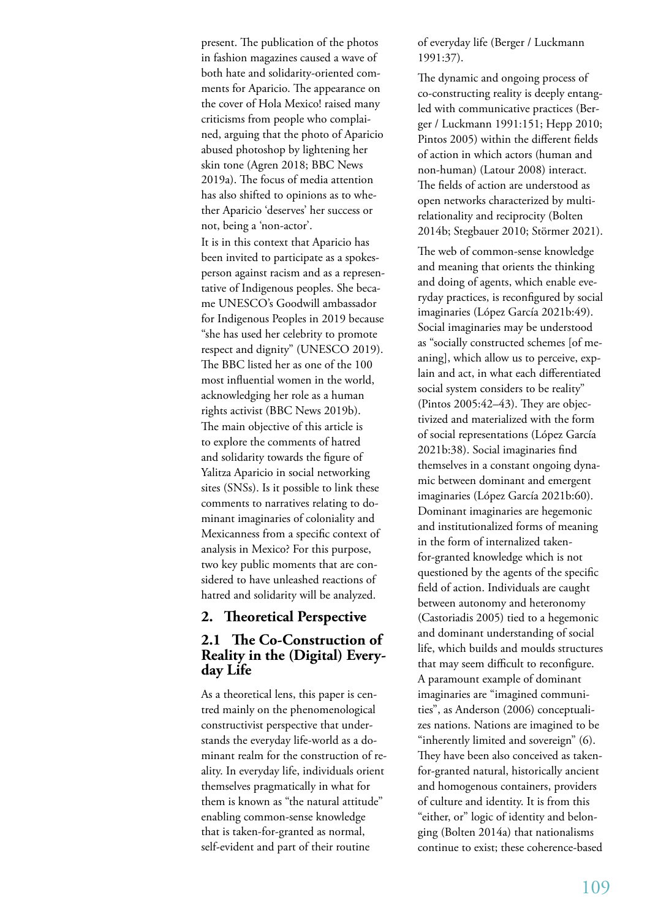present. The publication of the photos in fashion magazines caused a wave of both hate and solidarity-oriented comments for Aparicio. The appearance on the cover of Hola Mexico! raised many criticisms from people who complained, arguing that the photo of Aparicio abused photoshop by lightening her skin tone (Agren 2018; BBC News 2019a). The focus of media attention has also shifted to opinions as to whether Aparicio 'deserves' her success or not, being a 'non-actor'. It is in this context that Aparicio has been invited to participate as a spokesperson against racism and as a representative of Indigenous peoples. She became UNESCO's Goodwill ambassador for Indigenous Peoples in 2019 because "she has used her celebrity to promote respect and dignity" (UNESCO 2019). The BBC listed her as one of the 100 most influential women in the world, acknowledging her role as a human rights activist (BBC News 2019b). The main objective of this article is to explore the comments of hatred and solidarity towards the figure of Yalitza Aparicio in social networking sites (SNSs). Is it possible to link these comments to narratives relating to dominant imaginaries of coloniality and

Mexicanness from a specific context of analysis in Mexico? For this purpose, two key public moments that are considered to have unleashed reactions of hatred and solidarity will be analyzed.

### **2. Theoretical Perspective**

# **2.1 The Co-Construction of Reality in the (Digital) Everyday Life**

As a theoretical lens, this paper is centred mainly on the phenomenological constructivist perspective that understands the everyday life-world as a dominant realm for the construction of reality. In everyday life, individuals orient themselves pragmatically in what for them is known as "the natural attitude" enabling common-sense knowledge that is taken-for-granted as normal, self-evident and part of their routine

of everyday life (Berger / Luckmann 1991:37).

The dynamic and ongoing process of co-constructing reality is deeply entangled with communicative practices (Berger / Luckmann 1991:151; Hepp 2010; Pintos 2005) within the different fields of action in which actors (human and non-human) (Latour 2008) interact. The fields of action are understood as open networks characterized by multirelationality and reciprocity (Bolten 2014b; Stegbauer 2010; Störmer 2021).

The web of common-sense knowledge and meaning that orients the thinking and doing of agents, which enable everyday practices, is reconfigured by social imaginaries (López García 2021b:49). Social imaginaries may be understood as "socially constructed schemes [of meaning], which allow us to perceive, explain and act, in what each differentiated social system considers to be reality" (Pintos 2005:42–43). They are objectivized and materialized with the form of social representations (López García 2021b:38). Social imaginaries find themselves in a constant ongoing dynamic between dominant and emergent imaginaries (López García 2021b:60). Dominant imaginaries are hegemonic and institutionalized forms of meaning in the form of internalized takenfor-granted knowledge which is not questioned by the agents of the specific field of action. Individuals are caught between autonomy and heteronomy (Castoriadis 2005) tied to a hegemonic and dominant understanding of social life, which builds and moulds structures that may seem difficult to reconfigure. A paramount example of dominant imaginaries are "imagined communities", as Anderson (2006) conceptualizes nations. Nations are imagined to be "inherently limited and sovereign" (6). They have been also conceived as takenfor-granted natural, historically ancient and homogenous containers, providers of culture and identity. It is from this "either, or" logic of identity and belonging (Bolten 2014a) that nationalisms continue to exist; these coherence-based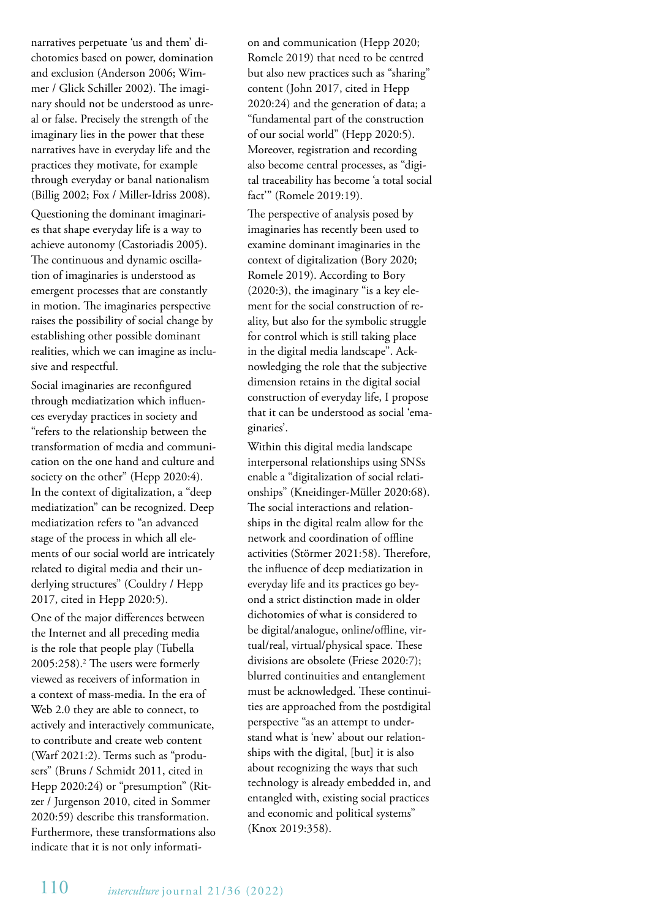narratives perpetuate 'us and them' dichotomies based on power, domination and exclusion (Anderson 2006; Wimmer / Glick Schiller 2002). The imaginary should not be understood as unreal or false. Precisely the strength of the imaginary lies in the power that these narratives have in everyday life and the practices they motivate, for example through everyday or banal nationalism (Billig 2002; Fox / Miller-Idriss 2008).

Questioning the dominant imaginaries that shape everyday life is a way to achieve autonomy (Castoriadis 2005). The continuous and dynamic oscillation of imaginaries is understood as emergent processes that are constantly in motion. The imaginaries perspective raises the possibility of social change by establishing other possible dominant realities, which we can imagine as inclusive and respectful.

Social imaginaries are reconfigured through mediatization which influences everyday practices in society and "refers to the relationship between the transformation of media and communication on the one hand and culture and society on the other" (Hepp 2020:4). In the context of digitalization, a "deep mediatization" can be recognized. Deep mediatization refers to "an advanced stage of the process in which all elements of our social world are intricately related to digital media and their underlying structures" (Couldry / Hepp 2017, cited in Hepp 2020:5).

One of the major differences between the Internet and all preceding media is the role that people play (Tubella 2005:258).2 The users were formerly viewed as receivers of information in a context of mass-media. In the era of Web 2.0 they are able to connect, to actively and interactively communicate, to contribute and create web content (Warf 2021:2). Terms such as "produsers" (Bruns / Schmidt 2011, cited in Hepp 2020:24) or "presumption" (Ritzer / Jurgenson 2010, cited in Sommer 2020:59) describe this transformation. Furthermore, these transformations also indicate that it is not only information and communication (Hepp 2020; Romele 2019) that need to be centred but also new practices such as "sharing" content (John 2017, cited in Hepp 2020:24) and the generation of data; a "fundamental part of the construction of our social world" (Hepp 2020:5). Moreover, registration and recording also become central processes, as "digital traceability has become 'a total social fact'" (Romele 2019:19).

The perspective of analysis posed by imaginaries has recently been used to examine dominant imaginaries in the context of digitalization (Bory 2020; Romele 2019). According to Bory (2020:3), the imaginary "is a key element for the social construction of reality, but also for the symbolic struggle for control which is still taking place in the digital media landscape". Acknowledging the role that the subjective dimension retains in the digital social construction of everyday life, I propose that it can be understood as social 'emaginaries'.

Within this digital media landscape interpersonal relationships using SNSs enable a "digitalization of social relationships" (Kneidinger-Müller 2020:68). The social interactions and relationships in the digital realm allow for the network and coordination of offline activities (Störmer 2021:58). Therefore, the influence of deep mediatization in everyday life and its practices go beyond a strict distinction made in older dichotomies of what is considered to be digital/analogue, online/offline, virtual/real, virtual/physical space. These divisions are obsolete (Friese 2020:7); blurred continuities and entanglement must be acknowledged. These continuities are approached from the postdigital perspective "as an attempt to understand what is 'new' about our relationships with the digital, [but] it is also about recognizing the ways that such technology is already embedded in, and entangled with, existing social practices and economic and political systems" (Knox 2019:358).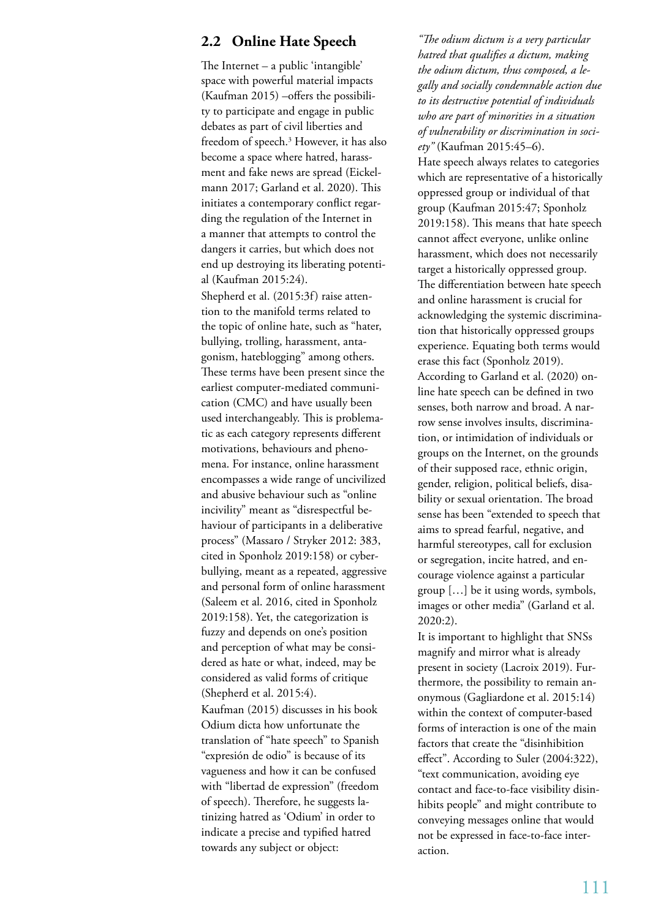# **2.2 Online Hate Speech**

The Internet – a public 'intangible' space with powerful material impacts (Kaufman 2015) –offers the possibility to participate and engage in public debates as part of civil liberties and freedom of speech.3 However, it has also become a space where hatred, harassment and fake news are spread (Eickelmann 2017; Garland et al. 2020). This initiates a contemporary conflict regarding the regulation of the Internet in a manner that attempts to control the dangers it carries, but which does not end up destroying its liberating potential (Kaufman 2015:24).

Shepherd et al. (2015:3f) raise attention to the manifold terms related to the topic of online hate, such as "hater, bullying, trolling, harassment, antagonism, hateblogging" among others. These terms have been present since the earliest computer-mediated communication (CMC) and have usually been used interchangeably. This is problematic as each category represents different motivations, behaviours and phenomena. For instance, online harassment encompasses a wide range of uncivilized and abusive behaviour such as "online incivility" meant as "disrespectful behaviour of participants in a deliberative process" (Massaro / Stryker 2012: 383, cited in Sponholz 2019:158) or cyberbullying, meant as a repeated, aggressive and personal form of online harassment (Saleem et al. 2016, cited in Sponholz 2019:158). Yet, the categorization is fuzzy and depends on one's position and perception of what may be considered as hate or what, indeed, may be considered as valid forms of critique (Shepherd et al. 2015:4).

Kaufman (2015) discusses in his book Odium dicta how unfortunate the translation of "hate speech" to Spanish "expresión de odio" is because of its vagueness and how it can be confused with "libertad de expression" (freedom of speech). Therefore, he suggests latinizing hatred as 'Odium' in order to indicate a precise and typified hatred towards any subject or object:

*"The odium dictum is a very particular hatred that qualifies a dictum, making the odium dictum, thus composed, a legally and socially condemnable action due to its destructive potential of individuals who are part of minorities in a situation of vulnerability or discrimination in society"* (Kaufman 2015:45–6).

Hate speech always relates to categories which are representative of a historically oppressed group or individual of that group (Kaufman 2015:47; Sponholz 2019:158). This means that hate speech cannot affect everyone, unlike online harassment, which does not necessarily target a historically oppressed group. The differentiation between hate speech and online harassment is crucial for acknowledging the systemic discrimination that historically oppressed groups experience. Equating both terms would erase this fact (Sponholz 2019). According to Garland et al. (2020) online hate speech can be defined in two senses, both narrow and broad. A narrow sense involves insults, discrimination, or intimidation of individuals or groups on the Internet, on the grounds of their supposed race, ethnic origin, gender, religion, political beliefs, disability or sexual orientation. The broad sense has been "extended to speech that aims to spread fearful, negative, and harmful stereotypes, call for exclusion or segregation, incite hatred, and encourage violence against a particular group […] be it using words, symbols, images or other media" (Garland et al. 2020:2).

It is important to highlight that SNSs magnify and mirror what is already present in society (Lacroix 2019). Furthermore, the possibility to remain anonymous (Gagliardone et al. 2015:14) within the context of computer-based forms of interaction is one of the main factors that create the "disinhibition effect". According to Suler (2004:322), "text communication, avoiding eye contact and face-to-face visibility disinhibits people" and might contribute to conveying messages online that would not be expressed in face-to-face interaction.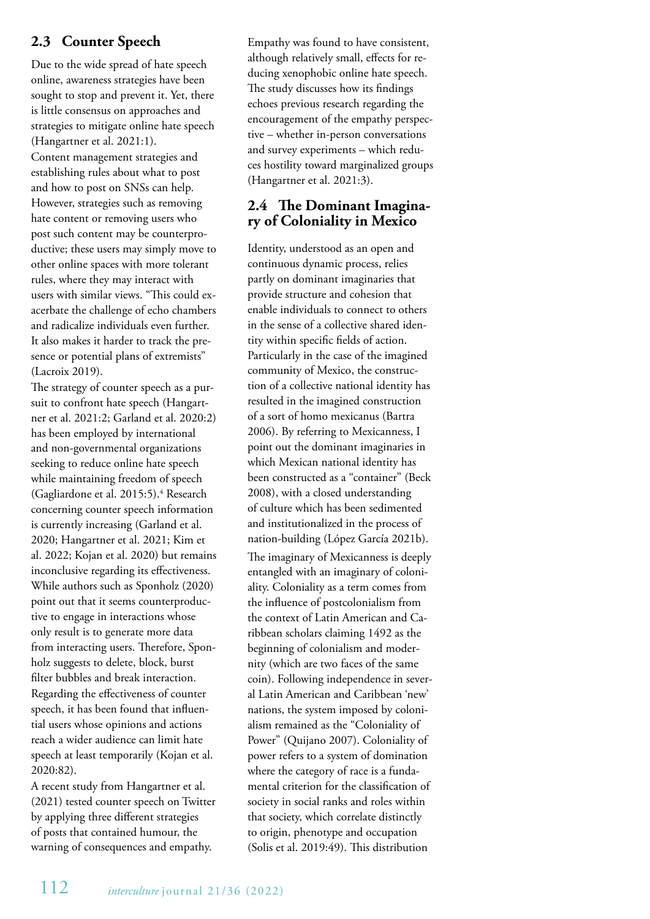# **2.3 Counter Speech**

Due to the wide spread of hate speech online, awareness strategies have been sought to stop and prevent it. Yet, there is little consensus on approaches and strategies to mitigate online hate speech (Hangartner et al. 2021:1).

Content management strategies and establishing rules about what to post and how to post on SNSs can help. However, strategies such as removing hate content or removing users who post such content may be counterproductive; these users may simply move to other online spaces with more tolerant rules, where they may interact with users with similar views. "This could exacerbate the challenge of echo chambers and radicalize individuals even further. It also makes it harder to track the presence or potential plans of extremists" (Lacroix 2019).

The strategy of counter speech as a pursuit to confront hate speech (Hangartner et al. 2021:2; Garland et al. 2020:2) has been employed by international and non-governmental organizations seeking to reduce online hate speech while maintaining freedom of speech (Gagliardone et al. 2015:5).4 Research concerning counter speech information is currently increasing (Garland et al. 2020; Hangartner et al. 2021; Kim et al. 2022; Kojan et al. 2020) but remains inconclusive regarding its effectiveness. While authors such as Sponholz (2020) point out that it seems counterproductive to engage in interactions whose only result is to generate more data from interacting users. Therefore, Sponholz suggests to delete, block, burst filter bubbles and break interaction. Regarding the effectiveness of counter speech, it has been found that influential users whose opinions and actions reach a wider audience can limit hate speech at least temporarily (Kojan et al. 2020:82).

A recent study from Hangartner et al. (2021) tested counter speech on Twitter by applying three different strategies of posts that contained humour, the warning of consequences and empathy.

Empathy was found to have consistent, although relatively small, effects for reducing xenophobic online hate speech. The study discusses how its findings echoes previous research regarding the encouragement of the empathy perspective – whether in-person conversations and survey experiments – which reduces hostility toward marginalized groups (Hangartner et al. 2021:3).

# **2.4 The Dominant Imagina- ry of Coloniality in Mexico**

Identity, understood as an open and continuous dynamic process, relies partly on dominant imaginaries that provide structure and cohesion that enable individuals to connect to others in the sense of a collective shared identity within specific fields of action. Particularly in the case of the imagined community of Mexico, the construction of a collective national identity has resulted in the imagined construction of a sort of homo mexicanus (Bartra 2006). By referring to Mexicanness, I point out the dominant imaginaries in which Mexican national identity has been constructed as a "container" (Beck 2008), with a closed understanding of culture which has been sedimented and institutionalized in the process of nation-building (López García 2021b). The imaginary of Mexicanness is deeply entangled with an imaginary of coloniality. Coloniality as a term comes from the influence of postcolonialism from the context of Latin American and Caribbean scholars claiming 1492 as the beginning of colonialism and modernity (which are two faces of the same coin). Following independence in several Latin American and Caribbean 'new' nations, the system imposed by colonialism remained as the "Coloniality of Power" (Quijano 2007). Coloniality of power refers to a system of domination where the category of race is a fundamental criterion for the classification of society in social ranks and roles within that society, which correlate distinctly to origin, phenotype and occupation (Solis et al. 2019:49). This distribution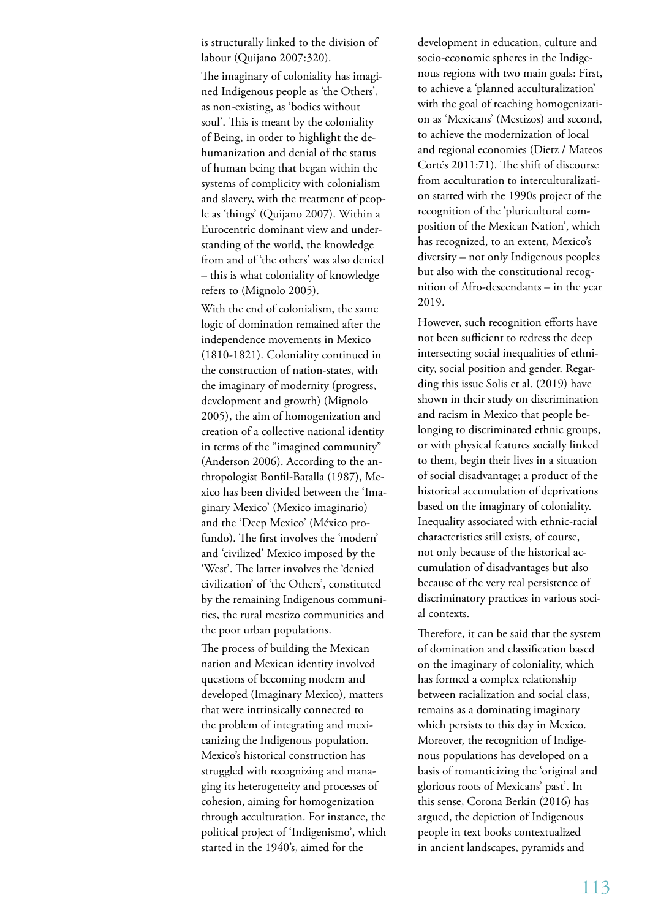is structurally linked to the division of labour (Quijano 2007:320).

The imaginary of coloniality has imagined Indigenous people as 'the Others', as non-existing, as 'bodies without soul'. This is meant by the coloniality of Being, in order to highlight the dehumanization and denial of the status of human being that began within the systems of complicity with colonialism and slavery, with the treatment of people as 'things' (Quijano 2007). Within a Eurocentric dominant view and understanding of the world, the knowledge from and of 'the others' was also denied – this is what coloniality of knowledge refers to (Mignolo 2005).

With the end of colonialism, the same logic of domination remained after the independence movements in Mexico (1810-1821). Coloniality continued in the construction of nation-states, with the imaginary of modernity (progress, development and growth) (Mignolo 2005), the aim of homogenization and creation of a collective national identity in terms of the "imagined community" (Anderson 2006). According to the anthropologist Bonfil-Batalla (1987), Mexico has been divided between the 'Imaginary Mexico' (Mexico imaginario) and the 'Deep Mexico' (México profundo). The first involves the 'modern' and 'civilized' Mexico imposed by the 'West'. The latter involves the 'denied civilization' of 'the Others', constituted by the remaining Indigenous communities, the rural mestizo communities and the poor urban populations.

The process of building the Mexican nation and Mexican identity involved questions of becoming modern and developed (Imaginary Mexico), matters that were intrinsically connected to the problem of integrating and mexicanizing the Indigenous population. Mexico's historical construction has struggled with recognizing and managing its heterogeneity and processes of cohesion, aiming for homogenization through acculturation. For instance, the political project of 'Indigenismo', which started in the 1940's, aimed for the

development in education, culture and socio-economic spheres in the Indigenous regions with two main goals: First, to achieve a 'planned acculturalization' with the goal of reaching homogenization as 'Mexicans' (Mestizos) and second, to achieve the modernization of local and regional economies (Dietz / Mateos Cortés 2011:71). The shift of discourse from acculturation to interculturalization started with the 1990s project of the recognition of the 'pluricultural composition of the Mexican Nation', which has recognized, to an extent, Mexico's diversity – not only Indigenous peoples but also with the constitutional recognition of Afro-descendants – in the year 2019.

However, such recognition efforts have not been sufficient to redress the deep intersecting social inequalities of ethnicity, social position and gender. Regarding this issue Solis et al. (2019) have shown in their study on discrimination and racism in Mexico that people belonging to discriminated ethnic groups, or with physical features socially linked to them, begin their lives in a situation of social disadvantage; a product of the historical accumulation of deprivations based on the imaginary of coloniality. Inequality associated with ethnic-racial characteristics still exists, of course, not only because of the historical accumulation of disadvantages but also because of the very real persistence of discriminatory practices in various social contexts.

Therefore, it can be said that the system of domination and classification based on the imaginary of coloniality, which has formed a complex relationship between racialization and social class, remains as a dominating imaginary which persists to this day in Mexico. Moreover, the recognition of Indigenous populations has developed on a basis of romanticizing the 'original and glorious roots of Mexicans' past'. In this sense, Corona Berkin (2016) has argued, the depiction of Indigenous people in text books contextualized in ancient landscapes, pyramids and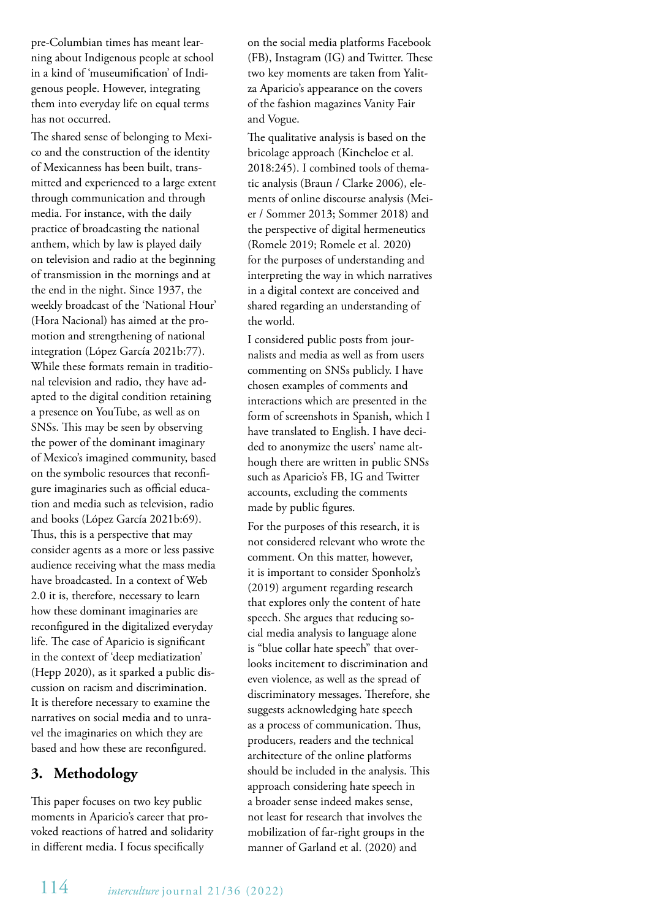pre-Columbian times has meant learning about Indigenous people at school in a kind of 'museumification' of Indigenous people. However, integrating them into everyday life on equal terms has not occurred.

The shared sense of belonging to Mexico and the construction of the identity of Mexicanness has been built, transmitted and experienced to a large extent through communication and through media. For instance, with the daily practice of broadcasting the national anthem, which by law is played daily on television and radio at the beginning of transmission in the mornings and at the end in the night. Since 1937, the weekly broadcast of the 'National Hour' (Hora Nacional) has aimed at the promotion and strengthening of national integration (López García 2021b:77). While these formats remain in traditional television and radio, they have adapted to the digital condition retaining a presence on YouTube, as well as on SNSs. This may be seen by observing the power of the dominant imaginary of Mexico's imagined community, based on the symbolic resources that reconfigure imaginaries such as official education and media such as television, radio and books (López García 2021b:69). Thus, this is a perspective that may consider agents as a more or less passive audience receiving what the mass media have broadcasted. In a context of Web 2.0 it is, therefore, necessary to learn how these dominant imaginaries are reconfigured in the digitalized everyday life. The case of Aparicio is significant in the context of 'deep mediatization' (Hepp 2020), as it sparked a public discussion on racism and discrimination. It is therefore necessary to examine the narratives on social media and to unravel the imaginaries on which they are based and how these are reconfigured.

# **3. Methodology**

This paper focuses on two key public moments in Aparicio's career that provoked reactions of hatred and solidarity in different media. I focus specifically

on the social media platforms Facebook (FB), Instagram (IG) and Twitter. These two key moments are taken from Yalitza Aparicio's appearance on the covers of the fashion magazines Vanity Fair and Vogue.

The qualitative analysis is based on the bricolage approach (Kincheloe et al. 2018:245). I combined tools of thematic analysis (Braun / Clarke 2006), elements of online discourse analysis (Meier / Sommer 2013; Sommer 2018) and the perspective of digital hermeneutics (Romele 2019; Romele et al. 2020) for the purposes of understanding and interpreting the way in which narratives in a digital context are conceived and shared regarding an understanding of the world.

I considered public posts from journalists and media as well as from users commenting on SNSs publicly. I have chosen examples of comments and interactions which are presented in the form of screenshots in Spanish, which I have translated to English. I have decided to anonymize the users' name although there are written in public SNSs such as Aparicio's FB, IG and Twitter accounts, excluding the comments made by public figures.

For the purposes of this research, it is not considered relevant who wrote the comment. On this matter, however, it is important to consider Sponholz's (2019) argument regarding research that explores only the content of hate speech. She argues that reducing social media analysis to language alone is "blue collar hate speech" that overlooks incitement to discrimination and even violence, as well as the spread of discriminatory messages. Therefore, she suggests acknowledging hate speech as a process of communication. Thus, producers, readers and the technical architecture of the online platforms should be included in the analysis. This approach considering hate speech in a broader sense indeed makes sense, not least for research that involves the mobilization of far-right groups in the manner of Garland et al. (2020) and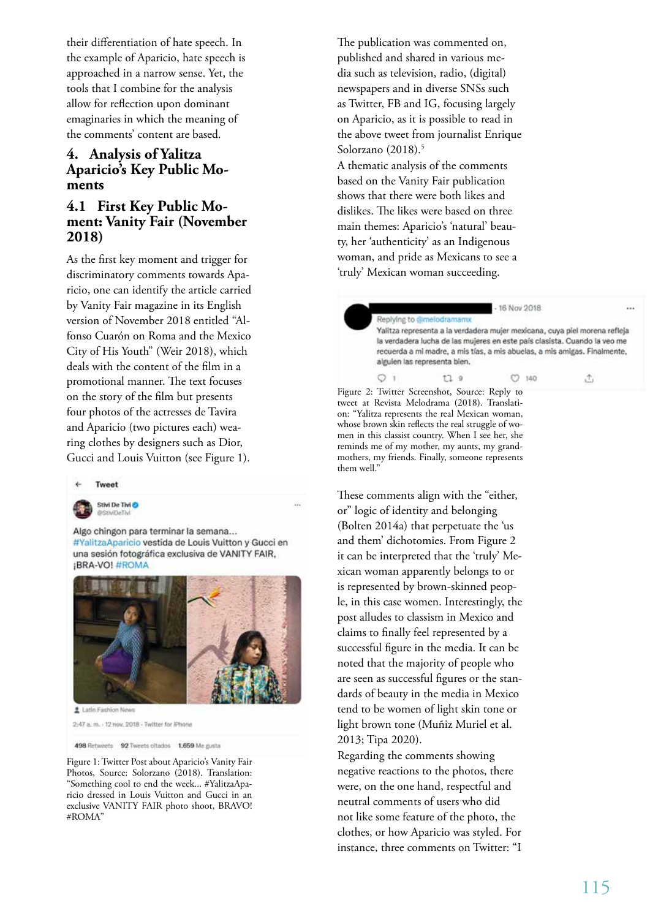their differentiation of hate speech. In the example of Aparicio, hate speech is approached in a narrow sense. Yet, the tools that I combine for the analysis allow for reflection upon dominant emaginaries in which the meaning of the comments' content are based.

# **4. Analysis of Yalitza Aparicio's Key Public Mo - ments**

## **4.1 First Key Public Mo ment: Vanity Fair (November 2018)**

As the first key moment and trigger for discriminatory comments towards Apa ricio, one can identify the article carried by Vanity Fair magazine in its English version of November 2018 entitled "Al fonso Cuarón on Roma and the Mexico City of His Youth" (Weir 2018), which deals with the content of the film in a promotional manner. The text focuses on the story of the film but presents four photos of the actresses de Tavira and Aparicio (two pictures each) wea ring clothes by designers such as Dior, Gucci and Louis Vuitton (see Figure 1).



Stivi De Tivi O **GISTIVITIV** 

Algo chingon para terminar la semana... #YalitzaAparicio vestida de Louis Vuitton y Gucci en una sesión fotográfica exclusiva de VANITY FAIR, ¡BRA-VO! #ROMA



2:47 a. m. - 12 nov. 2018 - Twitter for iPhone

498 Retweets 92 Tweets oltados 1.659 Me gusta

Figure 1: Twitter Post about Aparicio's Vanity Fair Photos, Source: Solorzano (2018). Translation: "Something cool to end the week... #YalitzaApa ricio dressed in Louis Vuitton and Gucci in an exclusive VANITY FAIR photo shoot, BRAVO! #ROMA"

The publication was commented on, published and shared in various me dia such as television, radio, (digital) newspapers and in diverse SNSs such as Twitter, FB and IG, focusing largely on Aparicio, as it is possible to read in the above tweet from journalist Enrique Solorzano (2018). 5

A thematic analysis of the comments based on the Vanity Fair publication shows that there were both likes and dislikes. The likes were based on three main themes: Aparicio's 'natural' beau ty, her 'authenticity' as an Indigenous woman, and pride as Mexicans to see a 'truly' Mexican woman succeeding.

> Replying to @melodramamx Yalitza representa a la verdadera mujer mexicana, cuya piel morena refleja la verdadera lucha de las mujeres en este país clasista. Cuando la veo me recuerda a mi madre, a mis tías, a mis abuelas, a mis amigas. Finalmente, algulen las representa blen.

- 16 Nov 2018

 $C2 140$ 

击

 $17.9$ Figure 2: Twitter Screenshot, Source: Reply to tweet at Revista Melodrama (2018). Translati on: "Yalitza represents the real Mexican woman, whose brown skin reflects the real struggle of wo men in this classist country. When I see her, she reminds me of my mother, my aunts, my grand mothers, my friends. Finally, someone represents them well."

 $O<sub>1</sub>$ 

These comments align with the "either, or" logic of identity and belonging (Bolten 2014a) that perpetuate the 'us and them' dichotomies. From Figure 2 it can be interpreted that the 'truly' Me xican woman apparently belongs to or is represented by brown-skinned peop le, in this case women. Interestingly, the post alludes to classism in Mexico and claims to finally feel represented by a successful figure in the media. It can be noted that the majority of people who are seen as successful figures or the stan dards of beauty in the media in Mexico tend to be women of light skin tone or light brown tone (Muñiz Muriel et al. 2013; Tipa 2020).

Regarding the comments showing negative reactions to the photos, there were, on the one hand, respectful and neutral comments of users who did not like some feature of the photo, the clothes, or how Aparicio was styled. For instance, three comments on Twitter: "I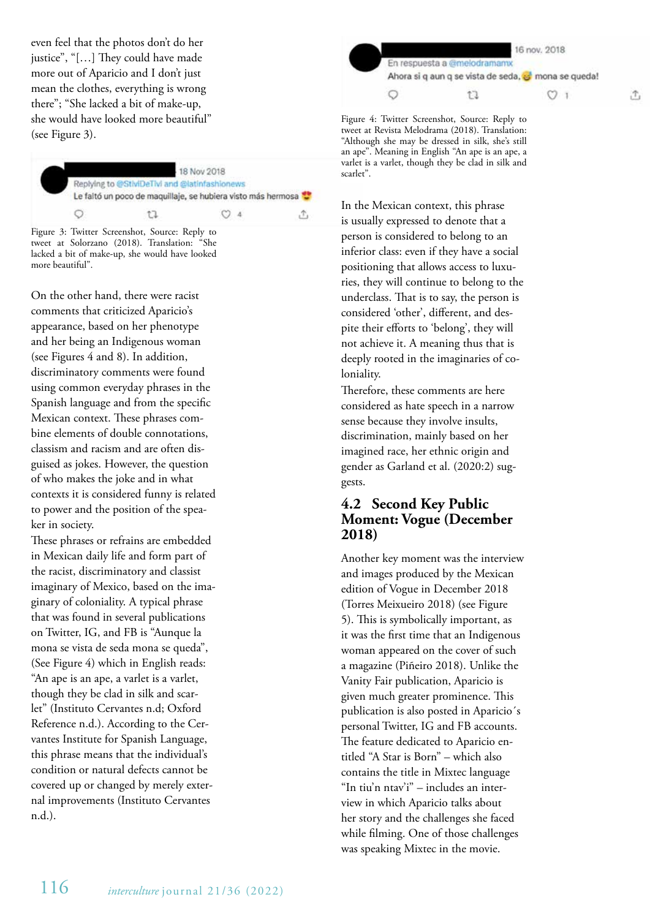even feel that the photos don't do her justice", "[…] They could have made more out of Aparicio and I don't just mean the clothes, everything is wrong there"; "She lacked a bit of make-up, she would have looked more beautiful" (see Figure 3).

> 18 Nov 2018 Replying to @StiviDeTivi and @latinfashionews Le faltó un poco de maquillaje, se hubiera visto más hermosa  $\circ$  $O<sub>4</sub>$ 17 Ĵ,

Figure 3: Twitter Screenshot, Source: Reply to tweet at Solorzano (2018). Translation: "She lacked a bit of make-up, she would have looked more beautiful".

On the other hand, there were racist comments that criticized Aparicio's appearance, based on her phenotype and her being an Indigenous woman (see Figures 4 and 8). In addition, discriminatory comments were found using common everyday phrases in the Spanish language and from the specific Mexican context. These phrases combine elements of double connotations, classism and racism and are often disguised as jokes. However, the question of who makes the joke and in what contexts it is considered funny is related to power and the position of the speaker in society.

These phrases or refrains are embedded in Mexican daily life and form part of the racist, discriminatory and classist imaginary of Mexico, based on the imaginary of coloniality. A typical phrase that was found in several publications on Twitter, IG, and FB is "Aunque la mona se vista de seda mona se queda", (See Figure 4) which in English reads: "An ape is an ape, a varlet is a varlet, though they be clad in silk and scarlet" (Instituto Cervantes n.d; Oxford Reference n.d.). According to the Cervantes Institute for Spanish Language, this phrase means that the individual's condition or natural defects cannot be covered up or changed by merely external improvements (Instituto Cervantes n.d.).



Figure 4: Twitter Screenshot, Source: Reply to tweet at Revista Melodrama (2018). Translation: "Although she may be dressed in silk, she's still an ape". Meaning in English "An ape is an ape, a varlet is a varlet, though they be clad in silk and scarlet".

In the Mexican context, this phrase is usually expressed to denote that a person is considered to belong to an inferior class: even if they have a social positioning that allows access to luxuries, they will continue to belong to the underclass. That is to say, the person is considered 'other', different, and despite their efforts to 'belong', they will not achieve it. A meaning thus that is deeply rooted in the imaginaries of coloniality.

Therefore, these comments are here considered as hate speech in a narrow sense because they involve insults, discrimination, mainly based on her imagined race, her ethnic origin and gender as Garland et al. (2020:2) suggests.

## **4.2 Second Key Public Moment: Vogue (December 2018)**

Another key moment was the interview and images produced by the Mexican edition of Vogue in December 2018 (Torres Meixueiro 2018) (see Figure 5). This is symbolically important, as it was the first time that an Indigenous woman appeared on the cover of such a magazine (Piñeiro 2018). Unlike the Vanity Fair publication, Aparicio is given much greater prominence. This publication is also posted in Aparicio´s personal Twitter, IG and FB accounts. The feature dedicated to Aparicio entitled "A Star is Born" – which also contains the title in Mixtec language "In tiu'n ntav'i" – includes an interview in which Aparicio talks about her story and the challenges she faced while filming. One of those challenges was speaking Mixtec in the movie.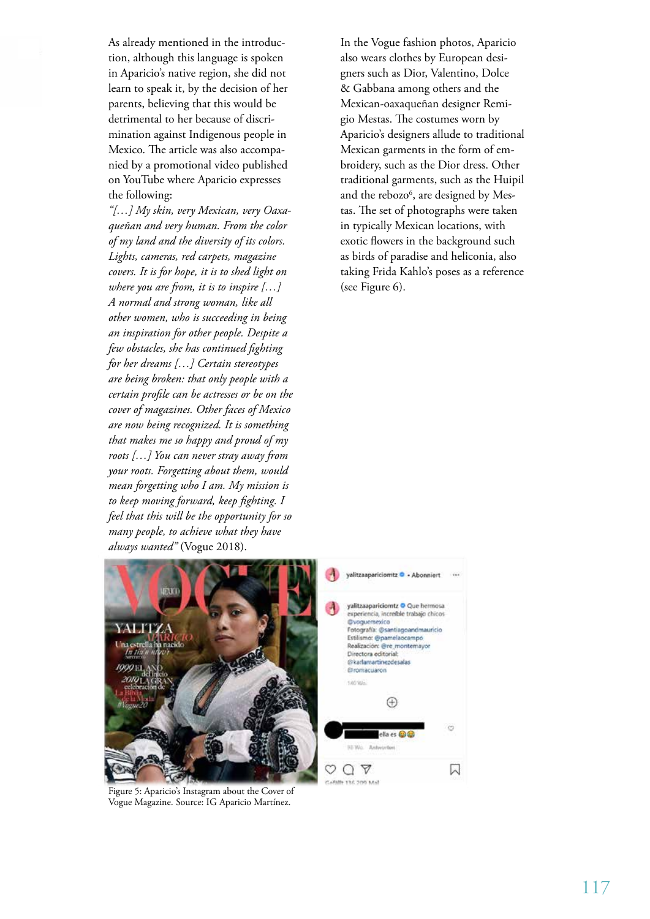As already mentioned in the introduction, although this language is spoken in Aparicio's native region, she did not learn to speak it, by the decision of her parents, believing that this would be detrimental to her because of discrimination against Indigenous people in Mexico. The article was also accompanied by a promotional video published on YouTube where Aparicio expresses the following:

*"[…] My skin, very Mexican, very Oaxaqueñan and very human. From the color of my land and the diversity of its colors. Lights, cameras, red carpets, magazine covers. It is for hope, it is to shed light on where you are from, it is to inspire […] A normal and strong woman, like all other women, who is succeeding in being an inspiration for other people. Despite a few obstacles, she has continued fighting for her dreams […] Certain stereotypes are being broken: that only people with a certain profile can be actresses or be on the cover of magazines. Other faces of Mexico are now being recognized. It is something that makes me so happy and proud of my roots […] You can never stray away from your roots. Forgetting about them, would mean forgetting who I am. My mission is to keep moving forward, keep fighting. I feel that this will be the opportunity for so many people, to achieve what they have always wanted"* (Vogue 2018).

In the Vogue fashion photos, Aparicio also wears clothes by European designers such as Dior, Valentino, Dolce & Gabbana among others and the Mexican-oaxaqueñan designer Remigio Mestas. The costumes worn by Aparicio's designers allude to traditional Mexican garments in the form of embroidery, such as the Dior dress. Other traditional garments, such as the Huipil and the rebozo<sup>6</sup>, are designed by Mestas. The set of photographs were taken in typically Mexican locations, with exotic flowers in the background such as birds of paradise and heliconia, also taking Frida Kahlo's poses as a reference (see Figure 6).



Figure 5: Aparicio's Instagram about the Cover of Vogue Magazine. Source: IG Aparicio Martínez.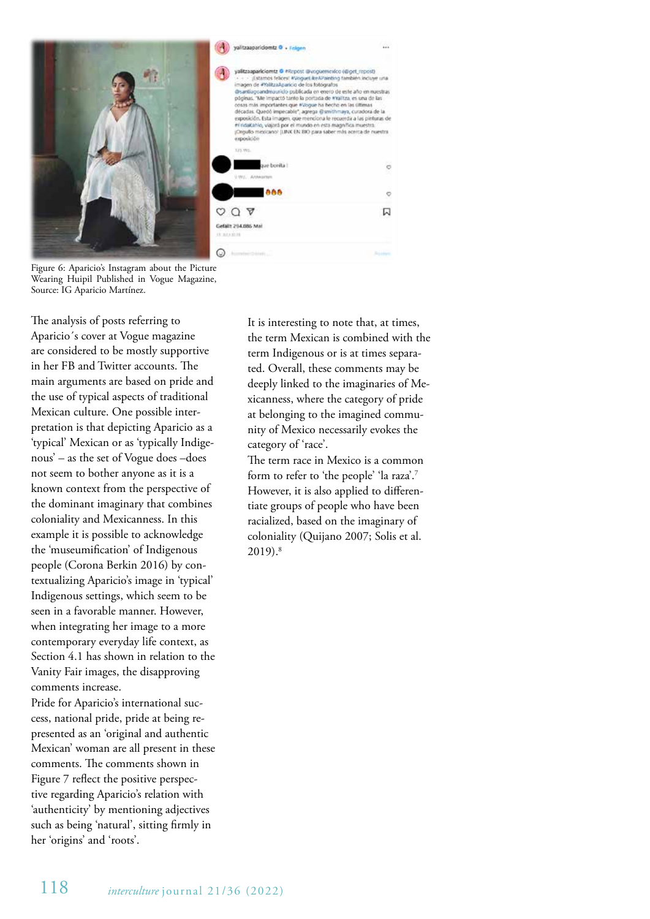



Figure 6: Aparicio's Instagram about the Picture Wearing Huipil Published in Vogue Magazine, Source: IG Aparicio Martínez.

The analysis of posts referring to Aparicio´s cover at Vogue magazine are considered to be mostly supportive in her FB and Twitter accounts. The main arguments are based on pride and the use of typical aspects of traditional Mexican culture. One possible interpretation is that depicting Aparicio as a 'typical' Mexican or as 'typically Indigenous' – as the set of Vogue does –does not seem to bother anyone as it is a known context from the perspective of the dominant imaginary that combines coloniality and Mexicanness. In this example it is possible to acknowledge the 'museumification' of Indigenous people (Corona Berkin 2016) by contextualizing Aparicio's image in 'typical' Indigenous settings, which seem to be seen in a favorable manner. However, when integrating her image to a more contemporary everyday life context, as Section 4.1 has shown in relation to the Vanity Fair images, the disapproving comments increase.

Pride for Aparicio's international success, national pride, pride at being represented as an 'original and authentic Mexican' woman are all present in these comments. The comments shown in Figure 7 reflect the positive perspective regarding Aparicio's relation with 'authenticity' by mentioning adjectives such as being 'natural', sitting firmly in her 'origins' and 'roots'.

It is interesting to note that, at times, the term Mexican is combined with the term Indigenous or is at times separated. Overall, these comments may be deeply linked to the imaginaries of Mexicanness, where the category of pride at belonging to the imagined community of Mexico necessarily evokes the category of 'race'.

The term race in Mexico is a common form to refer to 'the people' 'la raza'.7 However, it is also applied to differentiate groups of people who have been racialized, based on the imaginary of coloniality (Quijano 2007; Solis et al. 2019).8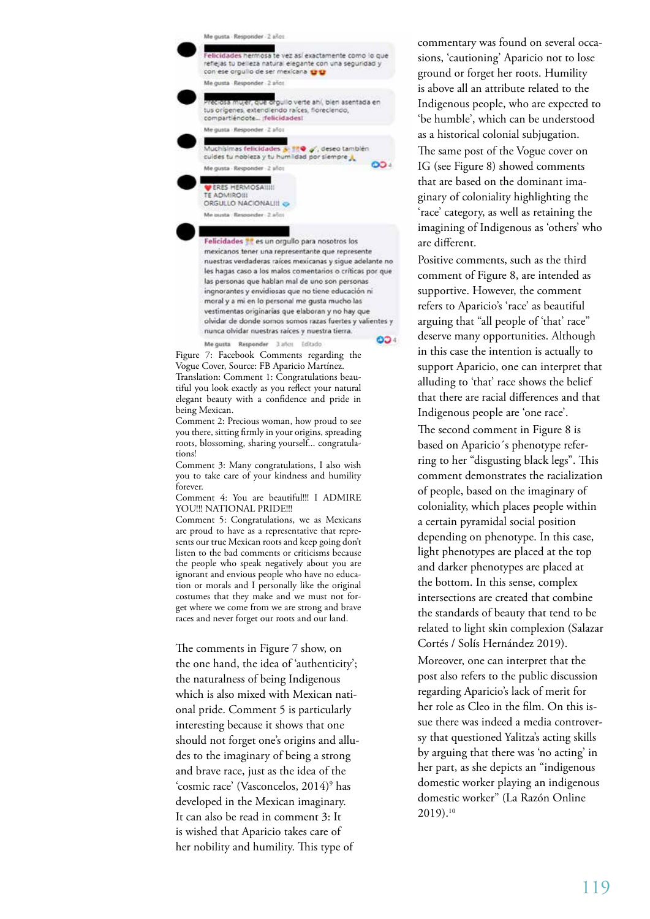

vestimentas originarias que elaboran y no hay que olvidar de donde somos somos razas fuertes y valientes y nunca olvidar nuestras raíces y nuestra tierra.

Me gusta Responder 3 años Editado

004

Figure 7: Facebook Comments regarding the Vogue Cover, Source: FB Aparicio Martínez. Translation: Comment 1: Congratulations beautiful you look exactly as you reflect your natural elegant beauty with a confidence and pride in being Mexican.

Comment 2: Precious woman, how proud to see you there, sitting firmly in your origins, spreading roots, blossoming, sharing yourself... congratulations!

Comment 3: Many congratulations, I also wish you to take care of your kindness and humility forever.

Comment 4: You are beautiful!!! I ADMIRE YOU!!! NATIONAL PRIDE!!!

Comment 5: Congratulations, we as Mexicans are proud to have as a representative that represents our true Mexican roots and keep going don't listen to the bad comments or criticisms because the people who speak negatively about you are ignorant and envious people who have no education or morals and I personally like the original costumes that they make and we must not forget where we come from we are strong and brave races and never forget our roots and our land.

The comments in Figure 7 show, on the one hand, the idea of 'authenticity'; the naturalness of being Indigenous which is also mixed with Mexican national pride. Comment 5 is particularly interesting because it shows that one should not forget one's origins and alludes to the imaginary of being a strong and brave race, just as the idea of the 'cosmic race' (Vasconcelos, 2014)9 has developed in the Mexican imaginary. It can also be read in comment 3: It is wished that Aparicio takes care of her nobility and humility. This type of

commentary was found on several occasions, 'cautioning' Aparicio not to lose ground or forget her roots. Humility is above all an attribute related to the Indigenous people, who are expected to 'be humble', which can be understood as a historical colonial subjugation. The same post of the Vogue cover on IG (see Figure 8) showed comments that are based on the dominant imaginary of coloniality highlighting the 'race' category, as well as retaining the imagining of Indigenous as 'others' who are different.

Positive comments, such as the third comment of Figure 8, are intended as supportive. However, the comment refers to Aparicio's 'race' as beautiful arguing that "all people of 'that' race" deserve many opportunities. Although in this case the intention is actually to support Aparicio, one can interpret that alluding to 'that' race shows the belief that there are racial differences and that Indigenous people are 'one race'.

The second comment in Figure 8 is based on Aparicio´s phenotype referring to her "disgusting black legs". This comment demonstrates the racialization of people, based on the imaginary of coloniality, which places people within a certain pyramidal social position depending on phenotype. In this case, light phenotypes are placed at the top and darker phenotypes are placed at the bottom. In this sense, complex intersections are created that combine the standards of beauty that tend to be related to light skin complexion (Salazar Cortés / Solís Hernández 2019). Moreover, one can interpret that the post also refers to the public discussion regarding Aparicio's lack of merit for her role as Cleo in the film. On this issue there was indeed a media controversy that questioned Yalitza's acting skills by arguing that there was 'no acting' in her part, as she depicts an "indigenous domestic worker playing an indigenous domestic worker" (La Razón Online

 $2019$ ).<sup>10</sup>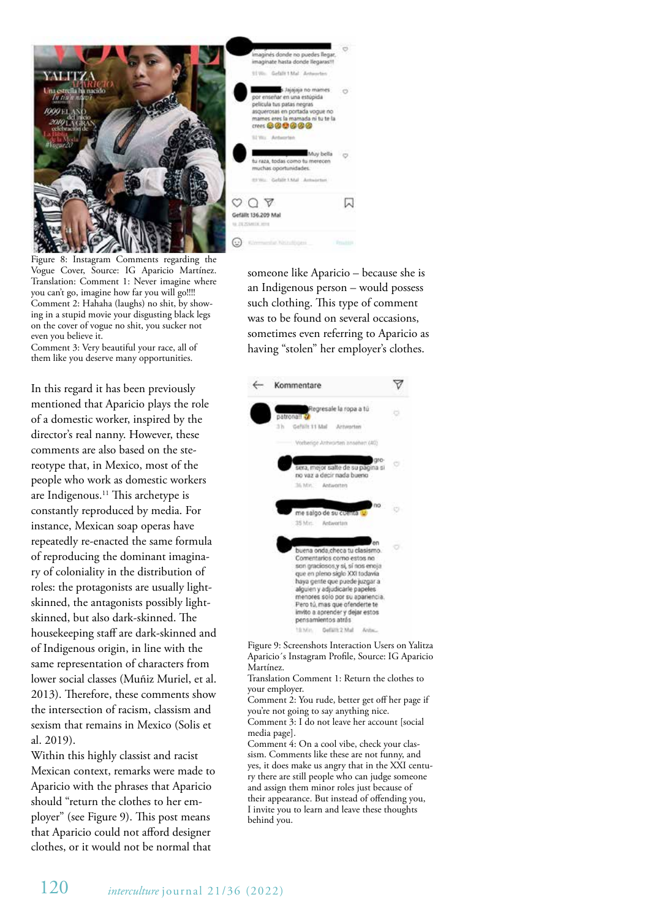

Figure 8: Instagram Comments regarding the Vogue Cover, Source: IG Aparicio Martínez. Translation: Comment 1: Never imagine where you can't go, imagine how far you will go!!!! Comment 2: Hahaha (laughs) no shit, by showing in a stupid movie your disgusting black legs on the cover of vogue no shit, you sucker not even you believe it.

Comment 3: Very beautiful your race, all of them like you deserve many opportunities.

In this regard it has been previously mentioned that Aparicio plays the role of a domestic worker, inspired by the director's real nanny. However, these comments are also based on the stereotype that, in Mexico, most of the people who work as domestic workers are Indigenous.<sup>11</sup> This archetype is constantly reproduced by media. For instance, Mexican soap operas have repeatedly re-enacted the same formula of reproducing the dominant imaginary of coloniality in the distribution of roles: the protagonists are usually lightskinned, the antagonists possibly lightskinned, but also dark-skinned. The housekeeping staff are dark-skinned and of Indigenous origin, in line with the same representation of characters from lower social classes (Muñiz Muriel, et al. 2013). Therefore, these comments show the intersection of racism, classism and sexism that remains in Mexico (Solis et al. 2019).

Within this highly classist and racist Mexican context, remarks were made to Aparicio with the phrases that Aparicio should "return the clothes to her employer" (see Figure 9). This post means that Aparicio could not afford designer clothes, or it would not be normal that



someone like Aparicio – because she is an Indigenous person – would possess such clothing. This type of comment was to be found on several occasions, sometimes even referring to Aparicio as having "stolen" her employer's clothes.



Figure 9: Screenshots Interaction Users on Yalitza Aparicio´s Instagram Profile, Source: IG Aparicio Martínez.

Translation Comment 1: Return the clothes to your employer.

Comment 2: You rude, better get off her page if you're not going to say anything nice. Comment 3: I do not leave her account [social

media page].

Comment 4: On a cool vibe, check your classism. Comments like these are not funny, and yes, it does make us angry that in the XXI century there are still people who can judge someone and assign them minor roles just because of their appearance. But instead of offending you, I invite you to learn and leave these thoughts behind you.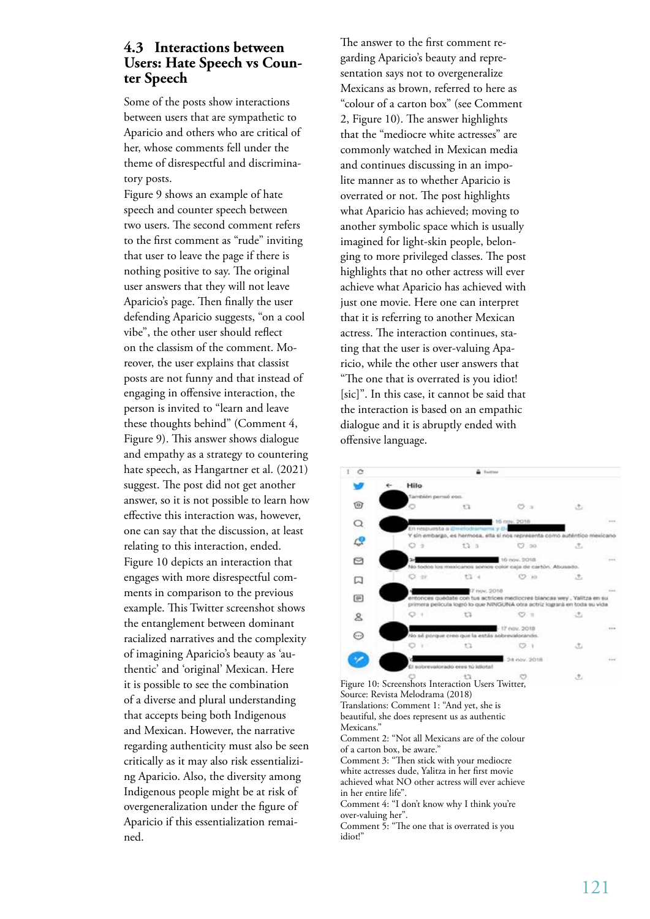# **4.3 Interactions between Users: Hate Speech vs Counter Speech**

Some of the posts show interactions between users that are sympathetic to Aparicio and others who are critical of her, whose comments fell under the theme of disrespectful and discriminatory posts.

Figure 9 shows an example of hate speech and counter speech between two users. The second comment refers to the first comment as "rude" inviting that user to leave the page if there is nothing positive to say. The original user answers that they will not leave Aparicio's page. Then finally the user defending Aparicio suggests, "on a cool vibe", the other user should reflect on the classism of the comment. Moreover, the user explains that classist posts are not funny and that instead of engaging in offensive interaction, the person is invited to "learn and leave these thoughts behind" (Comment 4, Figure 9). This answer shows dialogue and empathy as a strategy to countering hate speech, as Hangartner et al. (2021) suggest. The post did not get another answer, so it is not possible to learn how effective this interaction was, however, one can say that the discussion, at least relating to this interaction, ended. Figure 10 depicts an interaction that engages with more disrespectful comments in comparison to the previous example. This Twitter screenshot shows the entanglement between dominant racialized narratives and the complexity of imagining Aparicio's beauty as 'authentic' and 'original' Mexican. Here it is possible to see the combination of a diverse and plural understanding that accepts being both Indigenous and Mexican. However, the narrative regarding authenticity must also be seen critically as it may also risk essentializing Aparicio. Also, the diversity among Indigenous people might be at risk of overgeneralization under the figure of Aparicio if this essentialization remained.

The answer to the first comment regarding Aparicio's beauty and representation says not to overgeneralize Mexicans as brown, referred to here as "colour of a carton box" (see Comment 2, Figure 10). The answer highlights that the "mediocre white actresses" are commonly watched in Mexican media and continues discussing in an impolite manner as to whether Aparicio is overrated or not. The post highlights what Aparicio has achieved; moving to another symbolic space which is usually imagined for light-skin people, belonging to more privileged classes. The post highlights that no other actress will ever achieve what Aparicio has achieved with just one movie. Here one can interpret that it is referring to another Mexican actress. The interaction continues, stating that the user is over-valuing Aparicio, while the other user answers that "The one that is overrated is you idiot! [sic]". In this case, it cannot be said that the interaction is based on an empathic dialogue and it is abruptly ended with offensive language.

#### $\ddot{\circ}$  $\ddagger$ â Hilo w  $\widehat{[0]}$ ò t3  $\infty$ .  $\ddot{\phantom{1}}$  $\Omega$ **AK NANNAKA** Ľ, ö  $t3.1$  $O$  as  $\sigma$ A www. Incurs  $\circ$  $O<sub>0</sub>$  $t3 O<sub>10</sub>$ ∵e. 口 date con tus actrices in 画 ocres blancas wey. Valitza en si logró lo que NINGUNA otra actriz logrará er toda su vide  $\circ$ .  $\overline{t}$  $\mathcal{O}$ .  $\mathcal{A}$  $\mathbf{A}$ 17 nov. 2018  $\odot$ cus la es  $\sim$ **Y3**  $(2.1)$  $\triangle$ 4 nov. 9018 en trà licheta  $\tau$

Figure 10: Screenshots Interaction Users Twitter, Source: Revista Melodrama (2018) Translations: Comment 1: "And yet, she is beautiful, she does represent us as authentic Mexicans.' Comment 2: "Not all Mexicans are of the colour of a carton box, be aware." Comment 3: "Then stick with your mediocre white actresses dude, Yalitza in her first movie achieved what NO other actress will ever achieve in her entire life". Comment 4: "I don't know why I think you're over-valuing her". Comment 5: "The one that is overrated is you idiot!"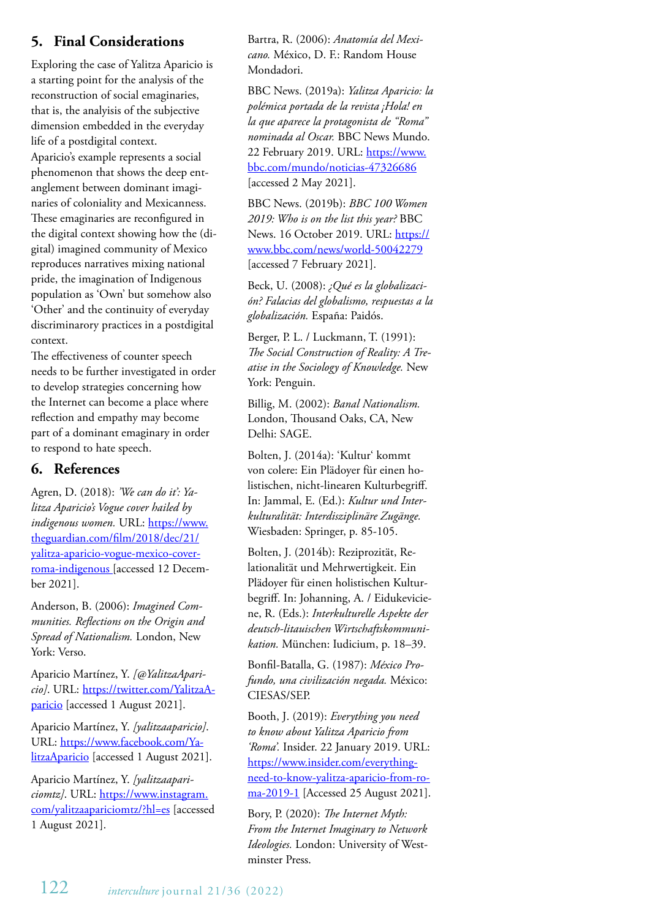# **5. Final Considerations**

Exploring the case of Yalitza Aparicio is a starting point for the analysis of the reconstruction of social emaginaries, that is, the analyisis of the subjective dimension embedded in the everyday life of a postdigital context. Aparicio's example represents a social phenomenon that shows the deep entanglement between dominant imaginaries of coloniality and Mexicanness. These emaginaries are reconfigured in the digital context showing how the (digital) imagined community of Mexico reproduces narratives mixing national pride, the imagination of Indigenous population as 'Own' but somehow also 'Other' and the continuity of everyday discriminarory practices in a postdigital context.

The effectiveness of counter speech needs to be further investigated in order to develop strategies concerning how the Internet can become a place where reflection and empathy may become part of a dominant emaginary in order to respond to hate speech.

# **6. References**

Agren, D. (2018): *'We can do it': Yalitza Aparicio's Vogue cover hailed by indigenous women.* URL: https://www. theguardian.com/film/2018/dec/21/ yalitza-aparicio-vogue-mexico-coverroma-indigenous [accessed 12 December 2021].

Anderson, B. (2006): *Imagined Communities. Reflections on the Origin and Spread of Nationalism.* London, New York: Verso.

Aparicio Martínez, Y. *[@YalitzaAparicio]*. URL: https://twitter.com/YalitzaAparicio [accessed 1 August 2021].

Aparicio Martínez, Y. *[yalitzaaparicio]*. URL: https://www.facebook.com/YalitzaAparicio [accessed 1 August 2021].

Aparicio Martínez, Y. *[yalitzaapariciomtz]*. URL: https://www.instagram. com/yalitzaapariciomtz/?hl=es [accessed 1 August 2021].

Bartra, R. (2006): *Anatomía del Mexicano.* México, D. F.: Random House Mondadori.

BBC News. (2019a): *Yalitza Aparicio: la polémica portada de la revista ¡Hola! en la que aparece la protagonista de "Roma" nominada al Oscar.* BBC News Mundo. 22 February 2019. URL: https://www. bbc.com/mundo/noticias-47326686 [accessed 2 May 2021].

BBC News. (2019b): *BBC 100 Women 2019: Who is on the list this year?* BBC News. 16 October 2019. URL: https:// www.bbc.com/news/world-50042279 [accessed 7 February 2021].

Beck, U. (2008): *¿Qué es la globalización? Falacias del globalismo, respuestas a la globalización.* España: Paidós.

Berger, P. L. / Luckmann, T. (1991): *The Social Construction of Reality: A Treatise in the Sociology of Knowledge.* New York: Penguin.

Billig, M. (2002): *Banal Nationalism.* London, Thousand Oaks, CA, New Delhi: SAGE.

Bolten, J. (2014a): 'Kultur' kommt von colere: Ein Plädoyer für einen holistischen, nicht-linearen Kulturbegriff. In: Jammal, E. (Ed.): *Kultur und Interkulturalität: Interdisziplinäre Zugänge.* Wiesbaden: Springer, p. 85-105.

Bolten, J. (2014b): Reziprozität, Relationalität und Mehrwertigkeit. Ein Plädoyer für einen holistischen Kulturbegriff. In: Johanning, A. / Eidukeviciene, R. (Eds.): *Interkulturelle Aspekte der deutsch-litauischen Wirtschaftskommunikation.* München: Iudicium, p. 18–39.

Bonfil-Batalla, G. (1987): *México Profundo, una civilización negada.* México: CIESAS/SEP.

Booth, J. (2019): *Everything you need to know about Yalitza Aparicio from 'Roma'.* Insider. 22 January 2019. URL: https://www.insider.com/everythingneed-to-know-yalitza-aparicio-from-roma-2019-1 [Accessed 25 August 2021].

Bory, P. (2020): *The Internet Myth: From the Internet Imaginary to Network Ideologies.* London: University of Westminster Press.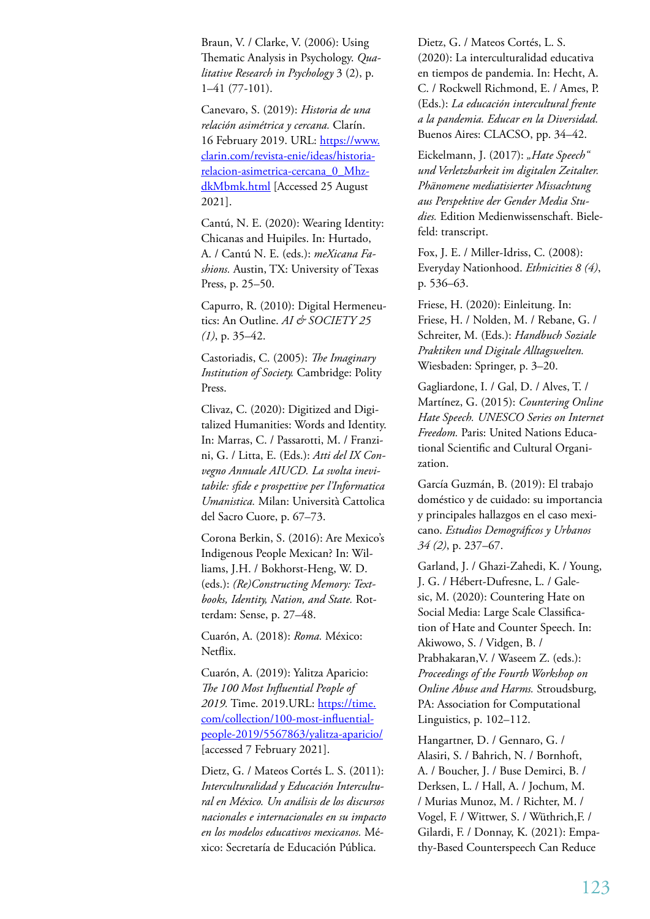Braun, V. / Clarke, V. (2006): Using Thematic Analysis in Psychology. *Qualitative Research in Psychology* 3 (2), p. 1–41 (77-101).

Canevaro, S. (2019): *Historia de una relación asimétrica y cercana.* Clarín. 16 February 2019. URL: https://www. clarin.com/revista-enie/ideas/historiarelacion-asimetrica-cercana\_0\_MhzdkMbmk.html [Accessed 25 August 2021].

Cantú, N. E. (2020): Wearing Identity: Chicanas and Huipiles. In: Hurtado, A. / Cantú N. E. (eds.): *meXicana Fashions.* Austin, TX: University of Texas Press, p. 25–50.

Capurro, R. (2010): Digital Hermeneutics: An Outline. *AI & SOCIETY 25 (1)*, p. 35–42.

Castoriadis, C. (2005): *The Imaginary Institution of Society.* Cambridge: Polity Press.

Clivaz, C. (2020): Digitized and Digitalized Humanities: Words and Identity. In: Marras, C. / Passarotti, M. / Franzini, G. / Litta, E. (Eds.): *Atti del IX Convegno Annuale AIUCD. La svolta inevitabile: sfide e prospettive per l'Informatica Umanistica.* Milan: Università Cattolica del Sacro Cuore, p. 67–73.

Corona Berkin, S. (2016): Are Mexico's Indigenous People Mexican? In: Williams, J.H. / Bokhorst-Heng, W. D. (eds.): *(Re)Constructing Memory: Textbooks, Identity, Nation, and State.* Rotterdam: Sense, p. 27–48.

Cuarón, A. (2018): *Roma.* México: Netflix.

Cuarón, A. (2019): Yalitza Aparicio: *The 100 Most Influential People of 2019.* Time. 2019.URL: https://time. com/collection/100-most-influentialpeople-2019/5567863/yalitza-aparicio/ [accessed 7 February 2021].

Dietz, G. / Mateos Cortés L. S. (2011): *Interculturalidad y Educación Intercultural en México. Un análisis de los discursos nacionales e internacionales en su impacto en los modelos educativos mexicanos.* México: Secretaría de Educación Pública.

Dietz, G. / Mateos Cortés, L. S. (2020): La interculturalidad educativa en tiempos de pandemia. In: Hecht, A. C. / Rockwell Richmond, E. / Ames, P. (Eds.): *La educación intercultural frente a la pandemia. Educar en la Diversidad.* Buenos Aires: CLACSO, pp. 34–42.

Eickelmann, J. (2017): "Hate Speech" *und Verletzbarkeit im digitalen Zeitalter. Phänomene mediatisierter Missachtung aus Perspektive der Gender Media Studies.* Edition Medienwissenschaft. Bielefeld: transcript.

Fox, J. E. / Miller-Idriss, C. (2008): Everyday Nationhood. *Ethnicities 8 (4)*, p. 536–63.

Friese, H. (2020): Einleitung. In: Friese, H. / Nolden, M. / Rebane, G. / Schreiter, M. (Eds.): *Handbuch Soziale Praktiken und Digitale Alltagswelten.* Wiesbaden: Springer, p. 3–20.

Gagliardone, I. / Gal, D. / Alves, T. / Martínez, G. (2015): *Countering Online Hate Speech. UNESCO Series on Internet Freedom.* Paris: United Nations Educational Scientific and Cultural Organization.

García Guzmán, B. (2019): El trabajo doméstico y de cuidado: su importancia y principales hallazgos en el caso mexicano. *Estudios Demográficos y Urbanos 34 (2)*, p. 237–67.

Garland, J. / Ghazi-Zahedi, K. / Young, J. G. / Hébert-Dufresne, L. / Galesic, M. (2020): Countering Hate on Social Media: Large Scale Classification of Hate and Counter Speech. In: Akiwowo, S. / Vidgen, B. / Prabhakaran,V. / Waseem Z. (eds.): *Proceedings of the Fourth Workshop on Online Abuse and Harms.* Stroudsburg, PA: Association for Computational Linguistics, p. 102–112.

Hangartner, D. / Gennaro, G. / Alasiri, S. / Bahrich, N. / Bornhoft, A. / Boucher, J. / Buse Demirci, B. / Derksen, L. / Hall, A. / Jochum, M. / Murias Munoz, M. / Richter, M. / Vogel, F. / Wittwer, S. / Wüthrich,F. / Gilardi, F. / Donnay, K. (2021): Empathy-Based Counterspeech Can Reduce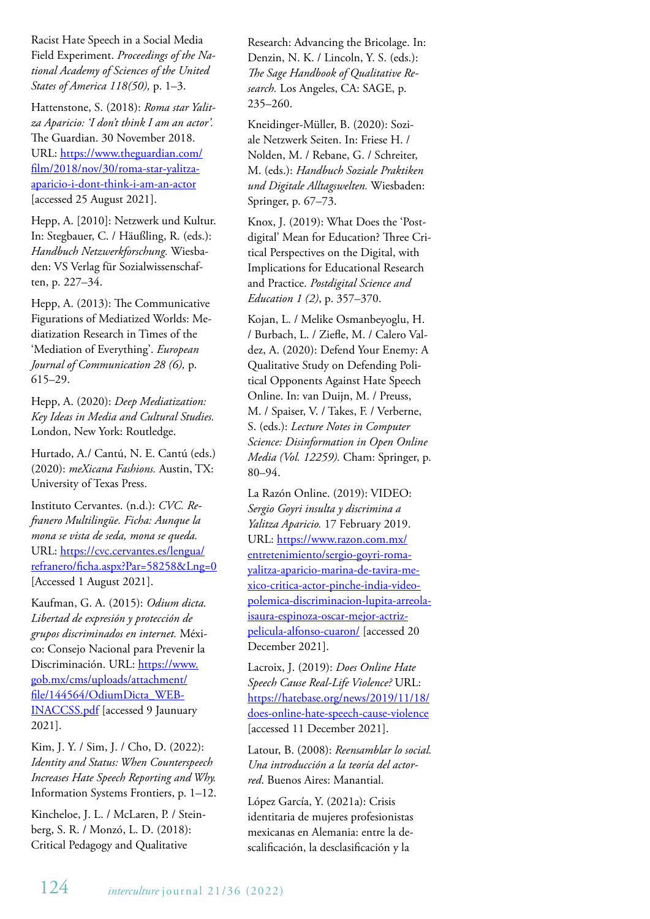Racist Hate Speech in a Social Media Field Experiment. *Proceedings of the National Academy of Sciences of the United States of America 118(50),* p. 1–3.

Hattenstone, S. (2018): *Roma star Yalitza Aparicio: 'I don't think I am an actor'.* The Guardian. 30 November 2018. URL: https://www.theguardian.com/ film/2018/nov/30/roma-star-yalitzaaparicio-i-dont-think-i-am-an-actor [accessed 25 August 2021].

Hepp, A. [2010]: Netzwerk und Kultur. In: Stegbauer, C. / Häußling, R. (eds.): *Handbuch Netzwerkforschung.* Wiesbaden: VS Verlag für Sozialwissenschaften, p. 227–34.

Hepp, A. (2013): The Communicative Figurations of Mediatized Worlds: Mediatization Research in Times of the 'Mediation of Everything'. *European Journal of Communication 28 (6),* p. 615–29.

Hepp, A. (2020): *Deep Mediatization: Key Ideas in Media and Cultural Studies.* London, New York: Routledge.

Hurtado, A./ Cantú, N. E. Cantú (eds.) (2020): *meXicana Fashions.* Austin, TX: University of Texas Press.

Instituto Cervantes. (n.d.): *CVC. Refranero Multilingüe. Ficha: Aunque la mona se vista de seda, mona se queda.* URL: https://cvc.cervantes.es/lengua/ refranero/ficha.aspx?Par=58258&Lng=0 [Accessed 1 August 2021].

Kaufman, G. A. (2015): *Odium dicta. Libertad de expresión y protección de grupos discriminados en internet.* México: Consejo Nacional para Prevenir la Discriminación. URL: https://www. gob.mx/cms/uploads/attachment/ file/144564/OdiumDicta\_WEB-INACCSS.pdf [accessed 9 Jaunuary 2021].

Kim, J. Y. / Sim, J. / Cho, D. (2022): *Identity and Status: When Counterspeech Increases Hate Speech Reporting and Why.*  Information Systems Frontiers, p. 1–12.

Kincheloe, J. L. / McLaren, P. / Steinberg, S. R. / Monzó, L. D. (2018): Critical Pedagogy and Qualitative

Research: Advancing the Bricolage. In: Denzin, N. K. / Lincoln, Y. S. (eds.): *The Sage Handbook of Qualitative Research.* Los Angeles, CA: SAGE, p. 235–260.

Kneidinger-Müller, B. (2020): Soziale Netzwerk Seiten. In: Friese H. / Nolden, M. / Rebane, G. / Schreiter, M. (eds.): *Handbuch Soziale Praktiken und Digitale Alltagswelten.* Wiesbaden: Springer, p. 67–73.

Knox, J. (2019): What Does the 'Postdigital' Mean for Education? Three Critical Perspectives on the Digital, with Implications for Educational Research and Practice. *Postdigital Science and Education 1 (2)*, p. 357–370.

Kojan, L. / Melike Osmanbeyoglu, H. / Burbach, L. / Ziefle, M. / Calero Valdez, A. (2020): Defend Your Enemy: A Qualitative Study on Defending Political Opponents Against Hate Speech Online. In: van Duijn, M. / Preuss, M. / Spaiser, V. / Takes, F. / Verberne, S. (eds.): *Lecture Notes in Computer Science: Disinformation in Open Online Media (Vol. 12259).* Cham: Springer, p. 80–94.

La Razón Online. (2019): VIDEO: *Sergio Goyri insulta y discrimina a Yalitza Aparicio.* 17 February 2019. URL: https://www.razon.com.mx/ entretenimiento/sergio-goyri-romayalitza-aparicio-marina-de-tavira-mexico-critica-actor-pinche-india-videopolemica-discriminacion-lupita-arreolaisaura-espinoza-oscar-mejor-actrizpelicula-alfonso-cuaron/ [accessed 20 December 2021].

Lacroix, J. (2019): *Does Online Hate Speech Cause Real-Life Violence?* URL: https://hatebase.org/news/2019/11/18/ does-online-hate-speech-cause-violence [accessed 11 December 2021].

Latour, B. (2008): *Reensamblar lo social. Una introducción a la teoría del actorred*. Buenos Aires: Manantial.

López García, Y. (2021a): Crisis identitaria de mujeres profesionistas mexicanas en Alemania: entre la descalificación, la desclasificación y la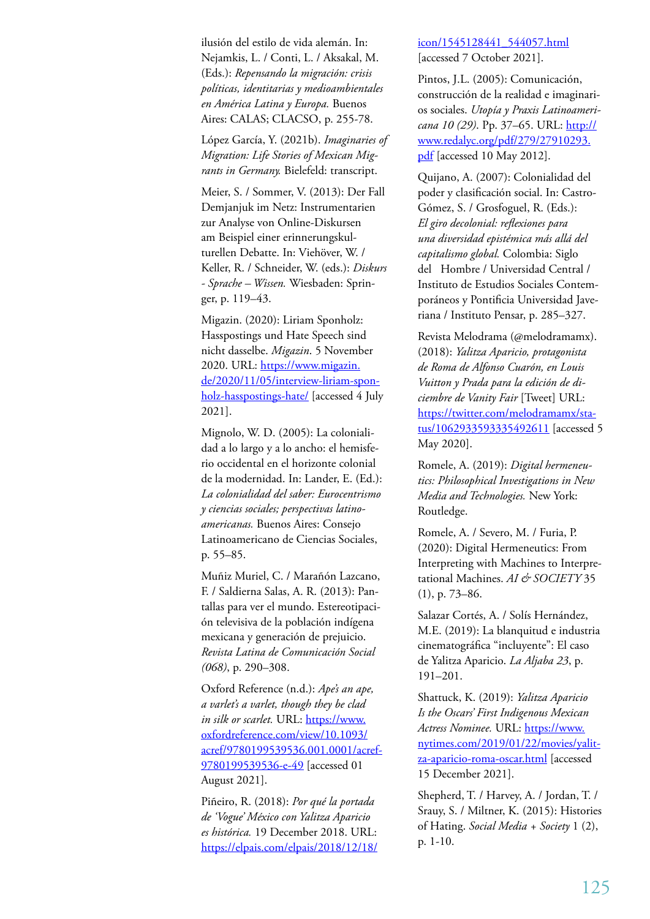ilusión del estilo de vida alemán. In: Nejamkis, L. / Conti, L. / Aksakal, M. (Eds.): *Repensando la migración: crisis políticas, identitarias y medioambientales en América Latina y Europa.* Buenos Aires: CALAS; CLACSO, p. 255-78.

López García, Y. (2021b). *Imaginaries of Migration: Life Stories of Mexican Migrants in Germany.* Bielefeld: transcript.

Meier, S. / Sommer, V. (2013): Der Fall Demjanjuk im Netz: Instrumentarien zur Analyse von Online-Diskursen am Beispiel einer erinnerungskulturellen Debatte. In: Viehöver, W. / Keller, R. / Schneider, W. (eds.): *Diskurs - Sprache – Wissen.* Wiesbaden: Springer, p. 119–43.

Migazin. (2020): Liriam Sponholz: Hasspostings und Hate Speech sind nicht dasselbe. *Migazin*. 5 November 2020. URL: https://www.migazin. de/2020/11/05/interview-liriam-sponholz-hasspostings-hate/ [accessed 4 July 2021].

Mignolo, W. D. (2005): La colonialidad a lo largo y a lo ancho: el hemisferio occidental en el horizonte colonial de la modernidad. In: Lander, E. (Ed.): *La colonialidad del saber: Eurocentrismo y ciencias sociales; perspectivas latinoamericanas.* Buenos Aires: Consejo Latinoamericano de Ciencias Sociales, p. 55–85.

Muñiz Muriel, C. / Marañón Lazcano, F. / Saldierna Salas, A. R. (2013): Pantallas para ver el mundo. Estereotipación televisiva de la población indígena mexicana y generación de prejuicio. *Revista Latina de Comunicación Social (068)*, p. 290–308.

Oxford Reference (n.d.): *Ape's an ape, a varlet's a varlet, though they be clad in silk or scarlet.* URL: https://www. oxfordreference.com/view/10.1093/ acref/9780199539536.001.0001/acref-9780199539536-e-49 [accessed 01 August 2021].

Piñeiro, R. (2018): *Por qué la portada de 'Vogue' México con Yalitza Aparicio es histórica.* 19 December 2018. URL: https://elpais.com/elpais/2018/12/18/

#### icon/1545128441\_544057.html [accessed 7 October 2021].

Pintos, J.L. (2005): Comunicación, construcción de la realidad e imaginarios sociales. *Utopía y Praxis Latinoamericana 10 (29)*. Pp. 37–65. URL: http:// www.redalyc.org/pdf/279/27910293. pdf [accessed 10 May 2012].

Quijano, A. (2007): Colonialidad del poder y clasificación social. In: Castro-Gómez, S. / Grosfoguel, R. (Eds.): *El giro decolonial: reflexiones para una diversidad epistémica más allá del capitalismo global.* Colombia: Siglo del Hombre / Universidad Central / Instituto de Estudios Sociales Contemporáneos y Pontificia Universidad Javeriana / Instituto Pensar, p. 285–327.

Revista Melodrama (@melodramamx). (2018): *Yalitza Aparicio, protagonista de Roma de Alfonso Cuarón, en Louis Vuitton y Prada para la edición de diciembre de Vanity Fair* [Tweet] URL: https://twitter.com/melodramamx/status/1062933593335492611 [accessed 5 May 2020].

Romele, A. (2019): *Digital hermeneutics: Philosophical Investigations in New Media and Technologies.* New York: Routledge.

Romele, A. / Severo, M. / Furia, P. (2020): Digital Hermeneutics: From Interpreting with Machines to Interpretational Machines. *AI & SOCIETY* 35 (1), p. 73–86.

Salazar Cortés, A. / Solís Hernández, M.E. (2019): La blanquitud e industria cinematográfica "incluyente": El caso de Yalitza Aparicio. *La Aljaba 23*, p. 191–201.

Shattuck, K. (2019): *Yalitza Aparicio Is the Oscars' First Indigenous Mexican*  Actress Nominee. URL: https://www. nytimes.com/2019/01/22/movies/yalitza-aparicio-roma-oscar.html [accessed 15 December 2021].

Shepherd, T. / Harvey, A. / Jordan, T. / Srauy, S. / Miltner, K. (2015): Histories of Hating. *Social Media + Society* 1 (2), p. 1-10.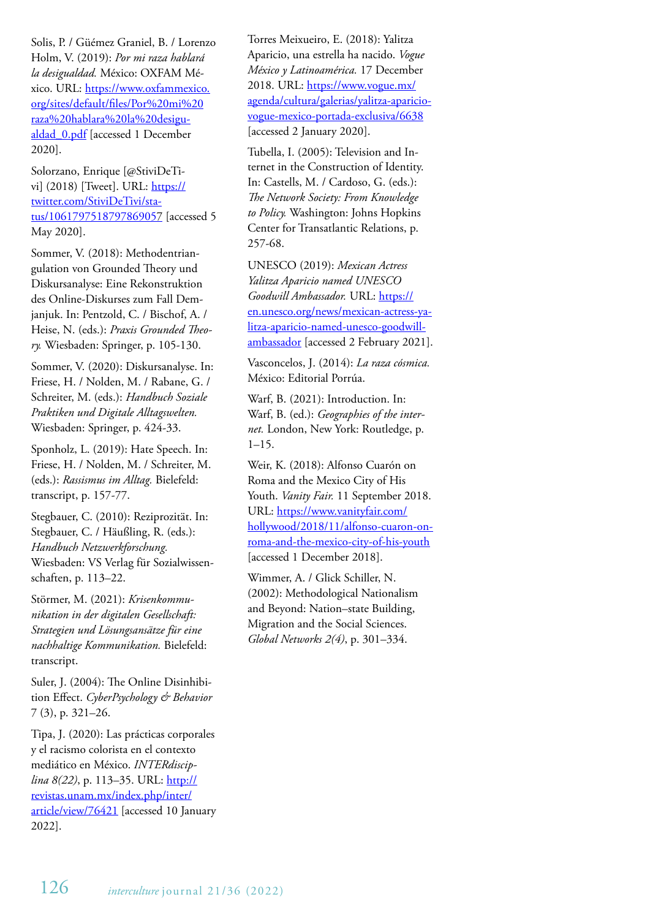Solis, P. / Güémez Graniel, B. / Lorenzo Holm, V. (2019): *Por mi raza hablará la desigualdad.* México: OXFAM México. URL: https://www.oxfammexico. org/sites/default/files/Por%20mi%20 raza%20hablara%20la%20desigualdad\_0.pdf [accessed 1 December 2020].

Solorzano, Enrique [@StiviDeTivi] (2018) [Tweet]. URL: https:// twitter.com/StiviDeTivi/status/1061797518797869057 [accessed 5 May 2020].

Sommer, V. (2018): Methodentriangulation von Grounded Theory und Diskursanalyse: Eine Rekonstruktion des Online-Diskurses zum Fall Demjanjuk. In: Pentzold, C. / Bischof, A. / Heise, N. (eds.): *Praxis Grounded Theory.* Wiesbaden: Springer, p. 105-130.

Sommer, V. (2020): Diskursanalyse. In: Friese, H. / Nolden, M. / Rabane, G. / Schreiter, M. (eds.): *Handbuch Soziale Praktiken und Digitale Alltagswelten.*  Wiesbaden: Springer, p. 424-33.

Sponholz, L. (2019): Hate Speech. In: Friese, H. / Nolden, M. / Schreiter, M. (eds.): *Rassismus im Alltag.* Bielefeld: transcript, p. 157-77.

Stegbauer, C. (2010): Reziprozität. In: Stegbauer, C. / Häußling, R. (eds.): *Handbuch Netzwerkforschung.* Wiesbaden: VS Verlag für Sozialwissenschaften, p. 113–22.

Störmer, M. (2021): *Krisenkommunikation in der digitalen Gesellschaft: Strategien und Lösungsansätze für eine nachhaltige Kommunikation.* Bielefeld: transcript.

Suler, J. (2004): The Online Disinhibition Effect. *CyberPsychology & Behavior*  7 (3), p. 321–26.

Tipa, J. (2020): Las prácticas corporales y el racismo colorista en el contexto mediático en México. *INTERdisciplina 8(22)*, p. 113–35. URL: http:// revistas.unam.mx/index.php/inter/ article/view/76421 [accessed 10 January 2022].

Torres Meixueiro, E. (2018): Yalitza Aparicio, una estrella ha nacido. *Vogue México y Latinoamérica.* 17 December 2018. URL: https://www.vogue.mx/ agenda/cultura/galerias/yalitza-apariciovogue-mexico-portada-exclusiva/6638 [accessed 2 January 2020].

Tubella, I. (2005): Television and Internet in the Construction of Identity. In: Castells, M. / Cardoso, G. (eds.): *The Network Society: From Knowledge to Policy.* Washington: Johns Hopkins Center for Transatlantic Relations, p. 257-68.

UNESCO (2019): *Mexican Actress Yalitza Aparicio named UNESCO Goodwill Ambassador.* URL: https:// en.unesco.org/news/mexican-actress-yalitza-aparicio-named-unesco-goodwillambassador [accessed 2 February 2021].

Vasconcelos, J. (2014): *La raza cósmica.* México: Editorial Porrúa.

Warf, B. (2021): Introduction. In: Warf, B. (ed.): *Geographies of the internet.* London, New York: Routledge, p. 1–15.

Weir, K. (2018): Alfonso Cuarón on Roma and the Mexico City of His Youth. *Vanity Fair.* 11 September 2018. URL: https://www.vanityfair.com/ hollywood/2018/11/alfonso-cuaron-onroma-and-the-mexico-city-of-his-youth [accessed 1 December 2018].

Wimmer, A. / Glick Schiller, N. (2002): Methodological Nationalism and Beyond: Nation–state Building, Migration and the Social Sciences. *Global Networks 2(4)*, p. 301–334.